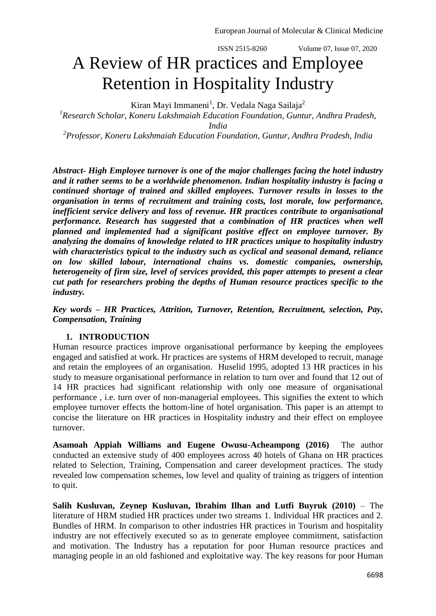ISSN 2515-8260 Volume 07, Issue 07, 2020

## A Review of HR practices and Employee Retention in Hospitality Industry

Kiran Mayi Immaneni<sup>1</sup>, Dr. Vedala Naga Sailaja<sup>2</sup>

*1 Research Scholar, Koneru Lakshmaiah Education Foundation, Guntur, Andhra Pradesh, India*

*2 Professor, Koneru Lakshmaiah Education Foundation, Guntur, Andhra Pradesh, India*

*Abstract- High Employee turnover is one of the major challenges facing the hotel industry and it rather seems to be a worldwide phenomenon. Indian hospitality industry is facing a continued shortage of trained and skilled employees. Turnover results in losses to the organisation in terms of recruitment and training costs, lost morale, low performance, inefficient service delivery and loss of revenue. HR practices contribute to organisational performance. Research has suggested that a combination of HR practices when well planned and implemented had a significant positive effect on employee turnover. By analyzing the domains of knowledge related to HR practices unique to hospitality industry with characteristics typical to the industry such as cyclical and seasonal demand, reliance on low skilled labour, international chains vs. domestic companies, ownership, heterogeneity of firm size, level of services provided, this paper attempts to present a clear cut path for researchers probing the depths of Human resource practices specific to the industry.* 

*Key words – HR Practices, Attrition, Turnover, Retention, Recruitment, selection, Pay, Compensation, Training*

## **1. INTRODUCTION**

Human resource practices improve organisational performance by keeping the employees engaged and satisfied at work. Hr practices are systems of HRM developed to recruit, manage and retain the employees of an organisation. Huselid 1995, adopted 13 HR practices in his study to measure organisational performance in relation to turn over and found that 12 out of 14 HR practices had significant relationship with only one measure of organisational performance , i.e. turn over of non-managerial employees. This signifies the extent to which employee turnover effects the bottom-line of hotel organisation. This paper is an attempt to concise the literature on HR practices in Hospitality industry and their effect on employee turnover.

**Asamoah Appiah Williams and Eugene Owusu-Acheampong (2016)** The author conducted an extensive study of 400 employees across 40 hotels of Ghana on HR practices related to Selection, Training, Compensation and career development practices. The study revealed low compensation schemes, low level and quality of training as triggers of intention to quit.

**Salih Kusluvan, Zeynep Kusluvan, Ibrahim Ilhan and Lutfi Buyruk (2010)** – The literature of HRM studied HR practices under two streams 1. Individual HR practices and 2. Bundles of HRM. In comparison to other industries HR practices in Tourism and hospitality industry are not effectively executed so as to generate employee commitment, satisfaction and motivation. The Industry has a reputation for poor Human resource practices and managing people in an old fashioned and exploitative way. The key reasons for poor Human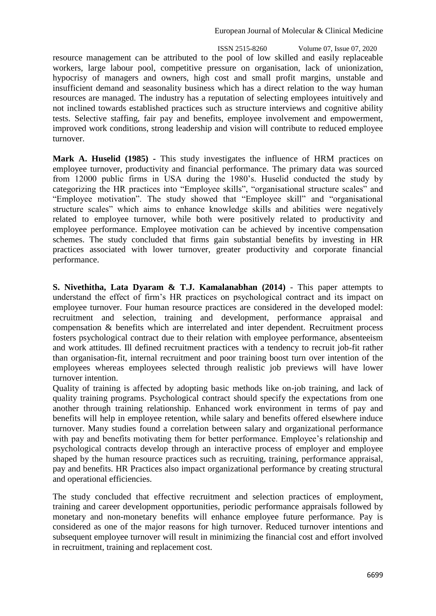ISSN 2515-8260 Volume 07, Issue 07, 2020 resource management can be attributed to the pool of low skilled and easily replaceable workers, large labour pool, competitive pressure on organisation, lack of unionization, hypocrisy of managers and owners, high cost and small profit margins, unstable and insufficient demand and seasonality business which has a direct relation to the way human resources are managed. The industry has a reputation of selecting employees intuitively and not inclined towards established practices such as structure interviews and cognitive ability tests. Selective staffing, fair pay and benefits, employee involvement and empowerment, improved work conditions, strong leadership and vision will contribute to reduced employee turnover.

**Mark A. Huselid (1985) -** This study investigates the influence of HRM practices on employee turnover, productivity and financial performance. The primary data was sourced from 12000 public firms in USA during the 1980's. Huselid conducted the study by categorizing the HR practices into "Employee skills", "organisational structure scales" and "Employee motivation". The study showed that "Employee skill" and "organisational structure scales" which aims to enhance knowledge skills and abilities were negatively related to employee turnover, while both were positively related to productivity and employee performance. Employee motivation can be achieved by incentive compensation schemes. The study concluded that firms gain substantial benefits by investing in HR practices associated with lower turnover, greater productivity and corporate financial performance.

**S. Nivethitha, Lata Dyaram & T.J. Kamalanabhan (2014)** - This paper attempts to understand the effect of firm's HR practices on psychological contract and its impact on employee turnover. Four human resource practices are considered in the developed model: recruitment and selection, training and development, performance appraisal and compensation & benefits which are interrelated and inter dependent. Recruitment process fosters psychological contract due to their relation with employee performance, absenteeism and work attitudes. Ill defined recruitment practices with a tendency to recruit job-fit rather than organisation-fit, internal recruitment and poor training boost turn over intention of the employees whereas employees selected through realistic job previews will have lower turnover intention.

Quality of training is affected by adopting basic methods like on-job training, and lack of quality training programs. Psychological contract should specify the expectations from one another through training relationship. Enhanced work environment in terms of pay and benefits will help in employee retention, while salary and benefits offered elsewhere induce turnover. Many studies found a correlation between salary and organizational performance with pay and benefits motivating them for better performance. Employee's relationship and psychological contracts develop through an interactive process of employer and employee shaped by the human resource practices such as recruiting, training, performance appraisal, pay and benefits. HR Practices also impact organizational performance by creating structural and operational efficiencies.

The study concluded that effective recruitment and selection practices of employment, training and career development opportunities, periodic performance appraisals followed by monetary and non-monetary benefits will enhance employee future performance. Pay is considered as one of the major reasons for high turnover. Reduced turnover intentions and subsequent employee turnover will result in minimizing the financial cost and effort involved in recruitment, training and replacement cost.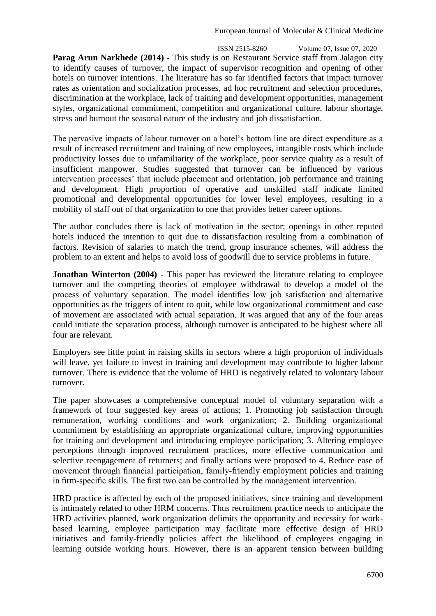ISSN 2515-8260 Volume 07, Issue 07, 2020 **Parag Arun Narkhede (2014) -** This study is on Restaurant Service staff from Jalagon city to identify causes of turnover, the impact of supervisor recognition and opening of other hotels on turnover intentions. The literature has so far identified factors that impact turnover rates as orientation and socialization processes, ad hoc recruitment and selection procedures, discrimination at the workplace, lack of training and development opportunities, management styles, organizational commitment, competition and organizational culture, labour shortage, stress and burnout the seasonal nature of the industry and job dissatisfaction.

The pervasive impacts of labour turnover on a hotel's bottom line are direct expenditure as a result of increased recruitment and training of new employees, intangible costs which include productivity losses due to unfamiliarity of the workplace, poor service quality as a result of insufficient manpower. Studies suggested that turnover can be influenced by various intervention processes' that include placement and orientation, job performance and training and development. High proportion of operative and unskilled staff indicate limited promotional and developmental opportunities for lower level employees, resulting in a mobility of staff out of that organization to one that provides better career options.

The author concludes there is lack of motivation in the sector; openings in other reputed hotels induced the intention to quit due to dissatisfaction resulting from a combination of factors. Revision of salaries to match the trend, group insurance schemes, will address the problem to an extent and helps to avoid loss of goodwill due to service problems in future.

**Jonathan Winterton (2004)** - This paper has reviewed the literature relating to employee turnover and the competing theories of employee withdrawal to develop a model of the process of voluntary separation. The model identifies low job satisfaction and alternative opportunities as the triggers of intent to quit, while low organizational commitment and ease of movement are associated with actual separation. It was argued that any of the four areas could initiate the separation process, although turnover is anticipated to be highest where all four are relevant.

Employers see little point in raising skills in sectors where a high proportion of individuals will leave, yet failure to invest in training and development may contribute to higher labour turnover. There is evidence that the volume of HRD is negatively related to voluntary labour turnover.

The paper showcases a comprehensive conceptual model of voluntary separation with a framework of four suggested key areas of actions; 1. Promoting job satisfaction through remuneration, working conditions and work organization; 2. Building organizational commitment by establishing an appropriate organizational culture, improving opportunities for training and development and introducing employee participation; 3. Altering employee perceptions through improved recruitment practices, more effective communication and selective reengagement of returners; and finally actions were proposed to 4. Reduce ease of movement through financial participation, family-friendly employment policies and training in firm-specific skills. The first two can be controlled by the management intervention.

HRD practice is affected by each of the proposed initiatives, since training and development is intimately related to other HRM concerns. Thus recruitment practice needs to anticipate the HRD activities planned, work organization delimits the opportunity and necessity for workbased learning, employee participation may facilitate more effective design of HRD initiatives and family-friendly policies affect the likelihood of employees engaging in learning outside working hours. However, there is an apparent tension between building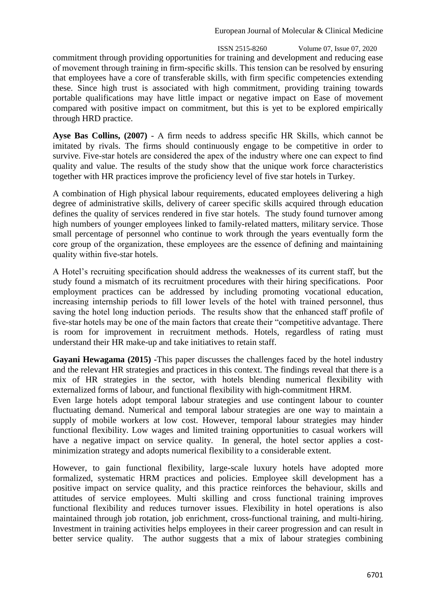ISSN 2515-8260 Volume 07, Issue 07, 2020 commitment through providing opportunities for training and development and reducing ease of movement through training in firm-specific skills. This tension can be resolved by ensuring that employees have a core of transferable skills, with firm specific competencies extending these. Since high trust is associated with high commitment, providing training towards portable qualifications may have little impact or negative impact on Ease of movement compared with positive impact on commitment, but this is yet to be explored empirically through HRD practice.

**Ayse Bas Collins, (2007)** - A firm needs to address specific HR Skills, which cannot be imitated by rivals. The firms should continuously engage to be competitive in order to survive. Five-star hotels are considered the apex of the industry where one can expect to find quality and value. The results of the study show that the unique work force characteristics together with HR practices improve the proficiency level of five star hotels in Turkey.

A combination of High physical labour requirements, educated employees delivering a high degree of administrative skills, delivery of career specific skills acquired through education defines the quality of services rendered in five star hotels. The study found turnover among high numbers of younger employees linked to family-related matters, military service. Those small percentage of personnel who continue to work through the years eventually form the core group of the organization, these employees are the essence of defining and maintaining quality within five-star hotels.

A Hotel's recruiting specification should address the weaknesses of its current staff, but the study found a mismatch of its recruitment procedures with their hiring specifications. Poor employment practices can be addressed by including promoting vocational education, increasing internship periods to fill lower levels of the hotel with trained personnel, thus saving the hotel long induction periods. The results show that the enhanced staff profile of five-star hotels may be one of the main factors that create their "competitive advantage. There is room for improvement in recruitment methods. Hotels, regardless of rating must understand their HR make-up and take initiatives to retain staff.

**Gayani Hewagama (2015) -**This paper discusses the challenges faced by the hotel industry and the relevant HR strategies and practices in this context. The findings reveal that there is a mix of HR strategies in the sector, with hotels blending numerical flexibility with externalized forms of labour, and functional flexibility with high-commitment HRM.

Even large hotels adopt temporal labour strategies and use contingent labour to counter fluctuating demand. Numerical and temporal labour strategies are one way to maintain a supply of mobile workers at low cost. However, temporal labour strategies may hinder functional flexibility. Low wages and limited training opportunities to casual workers will have a negative impact on service quality. In general, the hotel sector applies a costminimization strategy and adopts numerical flexibility to a considerable extent.

However, to gain functional flexibility, large-scale luxury hotels have adopted more formalized, systematic HRM practices and policies. Employee skill development has a positive impact on service quality, and this practice reinforces the behaviour, skills and attitudes of service employees. Multi skilling and cross functional training improves functional flexibility and reduces turnover issues. Flexibility in hotel operations is also maintained through job rotation, job enrichment, cross-functional training, and multi-hiring. Investment in training activities helps employees in their career progression and can result in better service quality. The author suggests that a mix of labour strategies combining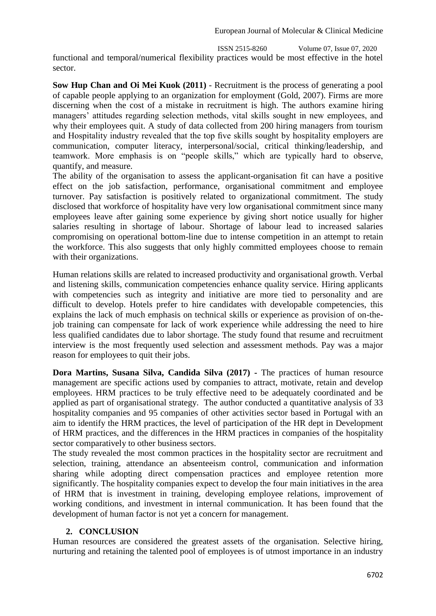ISSN 2515-8260 Volume 07, Issue 07, 2020

functional and temporal/numerical flexibility practices would be most effective in the hotel sector.

**Sow Hup Chan and Oi Mei Kuok (2011)** - Recruitment is the process of generating a pool of capable people applying to an organization for employment (Gold, 2007). Firms are more discerning when the cost of a mistake in recruitment is high. The authors examine hiring managers' attitudes regarding selection methods, vital skills sought in new employees, and why their employees quit. A study of data collected from 200 hiring managers from tourism and Hospitality industry revealed that the top five skills sought by hospitality employers are communication, computer literacy, interpersonal/social, critical thinking/leadership, and teamwork. More emphasis is on "people skills," which are typically hard to observe, quantify, and measure.

The ability of the organisation to assess the applicant-organisation fit can have a positive effect on the job satisfaction, performance, organisational commitment and employee turnover. Pay satisfaction is positively related to organizational commitment. The study disclosed that workforce of hospitality have very low organisational commitment since many employees leave after gaining some experience by giving short notice usually for higher salaries resulting in shortage of labour. Shortage of labour lead to increased salaries compromising on operational bottom-line due to intense competition in an attempt to retain the workforce. This also suggests that only highly committed employees choose to remain with their organizations.

Human relations skills are related to increased productivity and organisational growth. Verbal and listening skills, communication competencies enhance quality service. Hiring applicants with competencies such as integrity and initiative are more tied to personality and are difficult to develop. Hotels prefer to hire candidates with developable competencies, this explains the lack of much emphasis on technical skills or experience as provision of on-thejob training can compensate for lack of work experience while addressing the need to hire less qualified candidates due to labor shortage. The study found that resume and recruitment interview is the most frequently used selection and assessment methods. Pay was a major reason for employees to quit their jobs.

**Dora Martins, Susana Silva, Candida Silva (2017) -** The practices of human resource management are specific actions used by companies to attract, motivate, retain and develop employees. HRM practices to be truly effective need to be adequately coordinated and be applied as part of organisational strategy. The author conducted a quantitative analysis of 33 hospitality companies and 95 companies of other activities sector based in Portugal with an aim to identify the HRM practices, the level of participation of the HR dept in Development of HRM practices, and the differences in the HRM practices in companies of the hospitality sector comparatively to other business sectors.

The study revealed the most common practices in the hospitality sector are recruitment and selection, training, attendance an absenteeism control, communication and information sharing while adopting direct compensation practices and employee retention more significantly. The hospitality companies expect to develop the four main initiatives in the area of HRM that is investment in training, developing employee relations, improvement of working conditions, and investment in internal communication. It has been found that the development of human factor is not yet a concern for management.

## **2. CONCLUSION**

Human resources are considered the greatest assets of the organisation. Selective hiring, nurturing and retaining the talented pool of employees is of utmost importance in an industry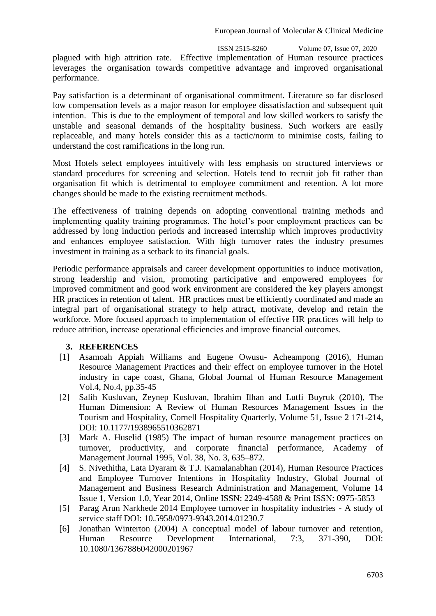ISSN 2515-8260 Volume 07, Issue 07, 2020 plagued with high attrition rate. Effective implementation of Human resource practices leverages the organisation towards competitive advantage and improved organisational performance.

Pay satisfaction is a determinant of organisational commitment. Literature so far disclosed low compensation levels as a major reason for employee dissatisfaction and subsequent quit intention. This is due to the employment of temporal and low skilled workers to satisfy the unstable and seasonal demands of the hospitality business. Such workers are easily replaceable, and many hotels consider this as a tactic/norm to minimise costs, failing to understand the cost ramifications in the long run.

Most Hotels select employees intuitively with less emphasis on structured interviews or standard procedures for screening and selection. Hotels tend to recruit job fit rather than organisation fit which is detrimental to employee commitment and retention. A lot more changes should be made to the existing recruitment methods.

The effectiveness of training depends on adopting conventional training methods and implementing quality training programmes. The hotel's poor employment practices can be addressed by long induction periods and increased internship which improves productivity and enhances employee satisfaction. With high turnover rates the industry presumes investment in training as a setback to its financial goals.

Periodic performance appraisals and career development opportunities to induce motivation, strong leadership and vision, promoting participative and empowered employees for improved commitment and good work environment are considered the key players amongst HR practices in retention of talent. HR practices must be efficiently coordinated and made an integral part of organisational strategy to help attract, motivate, develop and retain the workforce. More focused approach to implementation of effective HR practices will help to reduce attrition, increase operational efficiencies and improve financial outcomes.

## **3. REFERENCES**

- [1] Asamoah Appiah Williams and Eugene Owusu- Acheampong (2016), Human Resource Management Practices and their effect on employee turnover in the Hotel industry in cape coast, Ghana, Global Journal of Human Resource Management Vol.4, No.4, pp.35-45
- [2] Salih Kusluvan, Zeynep Kusluvan, Ibrahim Ilhan and Lutfi Buyruk (2010), The Human Dimension: A Review of Human Resources Management Issues in the Tourism and Hospitality, Cornell Hospitality Quarterly, Volume 51, Issue 2 171-214, DOI: 10.1177/1938965510362871
- [3] Mark A. Huselid (1985) The impact of human resource management practices on turnover, productivity, and corporate financial performance, Academy of Management Journal 1995, Vol. 38, No. 3, 635–872.
- [4] S. Nivethitha, Lata Dyaram & T.J. Kamalanabhan (2014), Human Resource Practices and Employee Turnover Intentions in Hospitality Industry, Global Journal of Management and Business Research Administration and Management, Volume 14 Issue 1, Version 1.0, Year 2014, Online ISSN: 2249-4588 & Print ISSN: 0975-5853
- [5] Parag Arun Narkhede 2014 Employee turnover in hospitality industries A study of service staff DOI: 10.5958/0973-9343.2014.01230.7
- [6] Jonathan Winterton (2004) A conceptual model of labour turnover and retention, Human Resource Development International, 7:3, 371-390, DOI: 10.1080/1367886042000201967